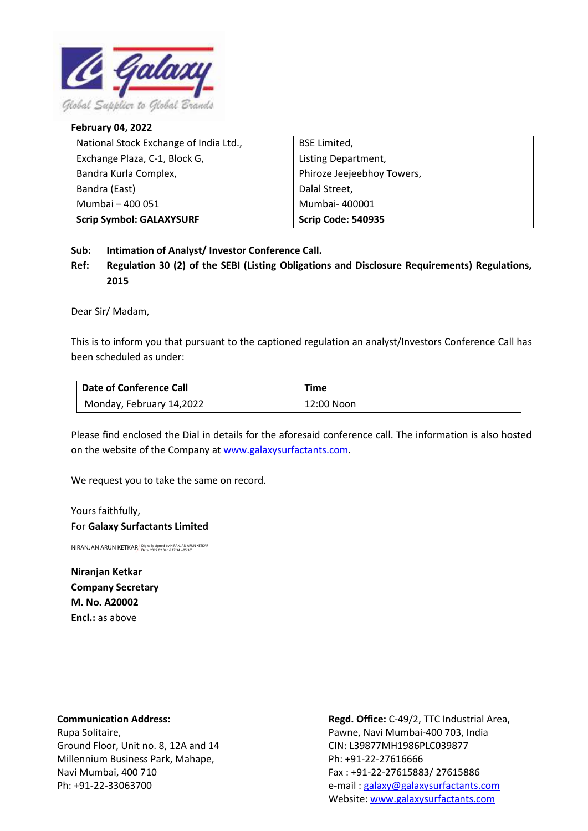

## **February 04, 2022** National Stock Exchange of India Ltd., Exchange Plaza, C-1, Block G, Bandra Kurla Complex, Bandra (East) Mumbai – 400 051 **Scrip Symbol: GALAXYSURF** BSE Limited, Listing Department, Phiroze Jeejeebhoy Towers, Dalal Street, Mumbai- 400001 **Scrip Code: 540935**

**Sub: Intimation of Analyst/ Investor Conference Call.**

**Ref: Regulation 30 (2) of the SEBI (Listing Obligations and Disclosure Requirements) Regulations, 2015**

Dear Sir/ Madam,

This is to inform you that pursuant to the captioned regulation an analyst/Investors Conference Call has been scheduled as under:

| Date of Conference Call  | <b>Time</b> |
|--------------------------|-------------|
| Monday, February 14,2022 | 12:00 Noon  |

Please find enclosed the Dial in details for the aforesaid conference call. The information is also hosted on the website of the Company at [www.galaxysurfactants.com.](http://www.galaxysurfactants.com/)

We request you to take the same on record.

Yours faithfully, For **Galaxy Surfactants Limited**

NIRANJAN ARUN KETKAR Digitally signed by NIRANJAN ARUN KETKAR

**Niranjan Ketkar Company Secretary M. No. A20002 Encl.:** as above

**Communication Address:**

Rupa Solitaire, Ground Floor, Unit no. 8, 12A and 14 Millennium Business Park, Mahape, Navi Mumbai, 400 710 Ph: +91-22-33063700

**Regd. Office:** C-49/2, TTC Industrial Area, Pawne, Navi Mumbai-400 703, India CIN: L39877MH1986PLC039877 Ph: +91-22-27616666 Fax : +91-22-27615883/ 27615886 e-mail [: galaxy@galaxysurfactants.com](mailto:galaxy@galaxysurfactants.com) Website: [www.galaxysurfactants.com](http://www.galaxysurfactants.com/)